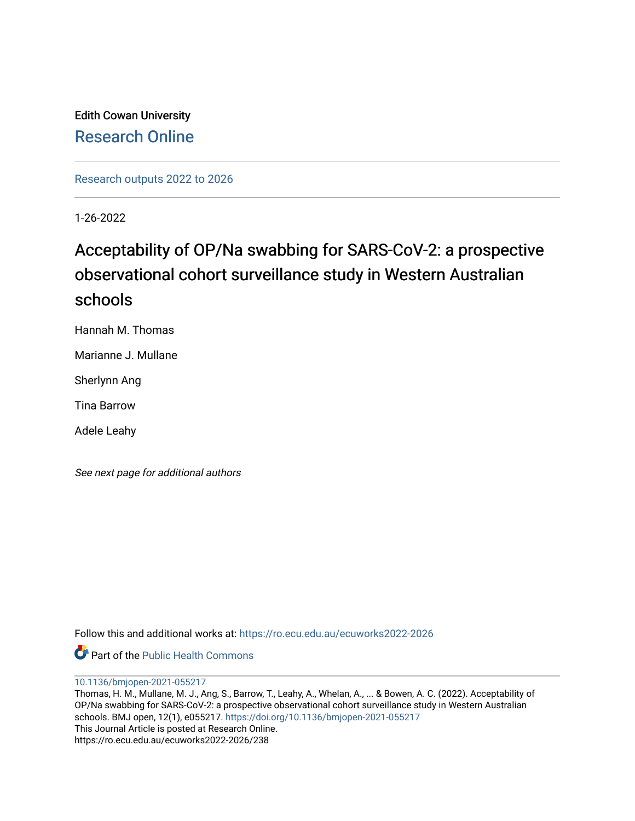Edith Cowan University [Research Online](https://ro.ecu.edu.au/) 

[Research outputs 2022 to 2026](https://ro.ecu.edu.au/ecuworks2022-2026) 

1-26-2022

# Acceptability of OP/Na swabbing for SARS-CoV-2: a prospective observational cohort surveillance study in Western Australian schools

Hannah M. Thomas

Marianne J. Mullane

Sherlynn Ang

Tina Barrow

Adele Leahy

See next page for additional authors

Follow this and additional works at: [https://ro.ecu.edu.au/ecuworks2022-2026](https://ro.ecu.edu.au/ecuworks2022-2026?utm_source=ro.ecu.edu.au%2Fecuworks2022-2026%2F238&utm_medium=PDF&utm_campaign=PDFCoverPages)

Part of the [Public Health Commons](http://network.bepress.com/hgg/discipline/738?utm_source=ro.ecu.edu.au%2Fecuworks2022-2026%2F238&utm_medium=PDF&utm_campaign=PDFCoverPages) 

[10.1136/bmjopen-2021-055217](http://dx.doi.org/10.1136/bmjopen-2021-055217) 

Thomas, H. M., Mullane, M. J., Ang, S., Barrow, T., Leahy, A., Whelan, A., ... & Bowen, A. C. (2022). Acceptability of OP/Na swabbing for SARS-CoV-2: a prospective observational cohort surveillance study in Western Australian schools. BMJ open, 12(1), e055217. <https://doi.org/10.1136/bmjopen-2021-055217> This Journal Article is posted at Research Online. https://ro.ecu.edu.au/ecuworks2022-2026/238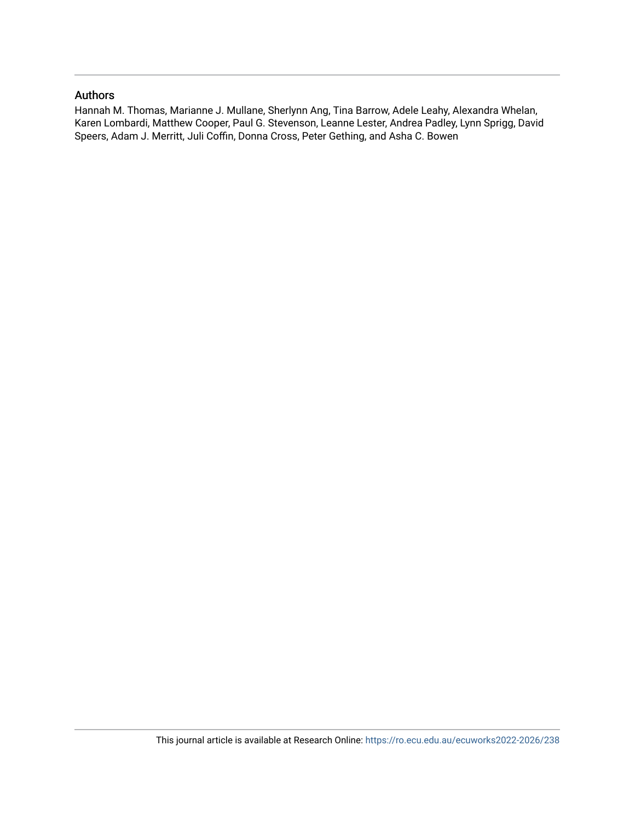# Authors

Hannah M. Thomas, Marianne J. Mullane, Sherlynn Ang, Tina Barrow, Adele Leahy, Alexandra Whelan, Karen Lombardi, Matthew Cooper, Paul G. Stevenson, Leanne Lester, Andrea Padley, Lynn Sprigg, David Speers, Adam J. Merritt, Juli Coffin, Donna Cross, Peter Gething, and Asha C. Bowen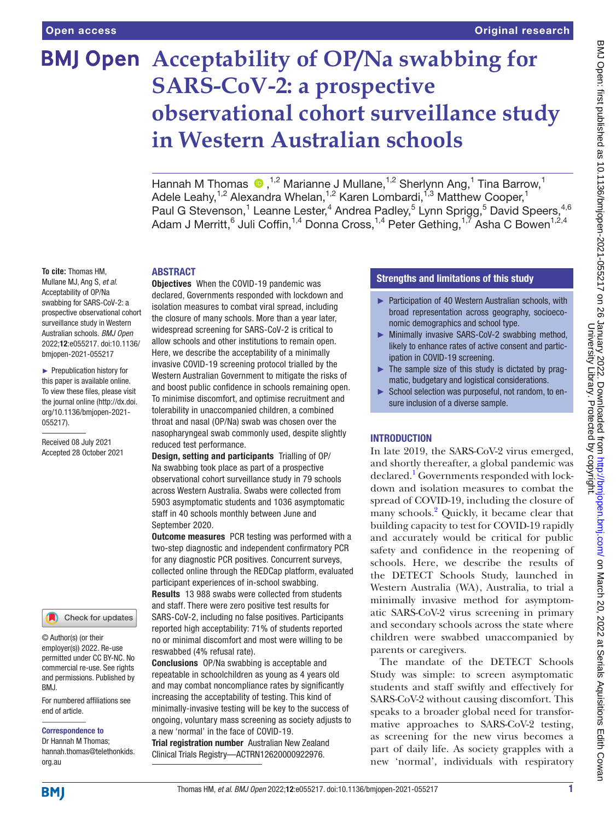# **BMJ Open** Acceptability of OP/Na swabbing for **SARS-CoV-2: a prospective observational cohort surveillance study in Western Australian schools**

HannahM Thomas  $\bigcirc$ , <sup>1,2</sup> Marianne J Mullane, <sup>1,2</sup> Sherlynn Ang, 1 Tina Barrow, <sup>1</sup> Adele Leahy,<sup>1,2</sup> Alexandra Whelan,<sup>1,2</sup> Karen Lombardi,<sup>1,3</sup> Matthew Cooper,<sup>1</sup> Paul G Stevenson,<sup>1</sup> Leanne Lester,<sup>4</sup> Andrea Padley,<sup>5</sup> Lynn Sprigg,<sup>5</sup> David Speers,<sup>4,6</sup> Adam J Merritt, $^6$  Juli Coffin, $^{1,4}$  Donna Cross, $^{1,4}$  Peter Gething, $^{1,7}$  Asha C Bowen $^{1,2,4}$ 

#### ABSTRACT

**To cite:** Thomas HM, Mullane MJ, Ang S, *et al*. Acceptability of OP/Na swabbing for SARS-CoV-2: a prospective observational cohort surveillance study in Western Australian schools. *BMJ Open* 2022;12:e055217. doi:10.1136/ bmjopen-2021-055217

► Prepublication history for this paper is available online. To view these files, please visit the journal online [\(http://dx.doi.](http://dx.doi.org/10.1136/bmjopen-2021-055217) [org/10.1136/bmjopen-2021-](http://dx.doi.org/10.1136/bmjopen-2021-055217) [055217\)](http://dx.doi.org/10.1136/bmjopen-2021-055217).

Received 08 July 2021 Accepted 28 October 2021



© Author(s) (or their employer(s)) 2022. Re-use permitted under CC BY-NC. No commercial re-use. See rights and permissions. Published by BMJ.

For numbered affiliations see end of article.

#### Correspondence to

Dr Hannah M Thomas; hannah.thomas@telethonkids. org.au

Objectives When the COVID-19 pandemic was declared, Governments responded with lockdown and isolation measures to combat viral spread, including the closure of many schools. More than a year later, widespread screening for SARS-CoV-2 is critical to allow schools and other institutions to remain open. Here, we describe the acceptability of a minimally invasive COVID-19 screening protocol trialled by the Western Australian Government to mitigate the risks of and boost public confidence in schools remaining open. To minimise discomfort, and optimise recruitment and tolerability in unaccompanied children, a combined throat and nasal (OP/Na) swab was chosen over the nasopharyngeal swab commonly used, despite slightly reduced test performance.

Design, setting and participants Trialling of OP/ Na swabbing took place as part of a prospective observational cohort surveillance study in 79 schools across Western Australia. Swabs were collected from 5903 asymptomatic students and 1036 asymptomatic staff in 40 schools monthly between June and September 2020.

**Outcome measures** PCR testing was performed with a two-step diagnostic and independent confirmatory PCR for any diagnostic PCR positives. Concurrent surveys, collected online through the REDCap platform, evaluated participant experiences of in-school swabbing. Results 13 988 swabs were collected from students and staff. There were zero positive test results for SARS-CoV-2, including no false positives. Participants reported high acceptability: 71% of students reported no or minimal discomfort and most were willing to be reswabbed (4% refusal rate).

Conclusions OP/Na swabbing is acceptable and repeatable in schoolchildren as young as 4 years old and may combat noncompliance rates by significantly increasing the acceptability of testing. This kind of minimally-invasive testing will be key to the success of ongoing, voluntary mass screening as society adjusts to a new 'normal' in the face of COVID-19.

Trial registration number Australian New Zealand Clinical Trials Registry—ACTRN12620000922976.

# Strengths and limitations of this study

- ► Participation of 40 Western Australian schools, with broad representation across geography, socioeconomic demographics and school type.
- ► Minimally invasive SARS-CoV-2 swabbing method, likely to enhance rates of active consent and participation in COVID-19 screening.
- $\blacktriangleright$  The sample size of this study is dictated by pragmatic, budgetary and logistical considerations.
- ► School selection was purposeful, not random, to ensure inclusion of a diverse sample.

## **INTRODUCTION**

In late 2019, the SARS-CoV-2 virus emerged, and shortly thereafter, a global pandemic was declared.<sup>[1](#page-7-0)</sup> Governments responded with lockdown and isolation measures to combat the spread of COVID-19, including the closure of many schools.<sup>[2](#page-7-1)</sup> Quickly, it became clear that building capacity to test for COVID-19 rapidly and accurately would be critical for public safety and confidence in the reopening of schools. Here, we describe the results of the DETECT Schools Study, launched in Western Australia (WA), Australia, to trial a minimally invasive method for asymptomatic SARS-CoV-2 virus screening in primary and secondary schools across the state where children were swabbed unaccompanied by parents or caregivers.

The mandate of the DETECT Schools Study was simple: to screen asymptomatic students and staff swiftly and effectively for SARS-CoV-2 without causing discomfort. This speaks to a broader global need for transformative approaches to SARS-CoV-2 testing, as screening for the new virus becomes a part of daily life. As society grapples with a new 'normal', individuals with respiratory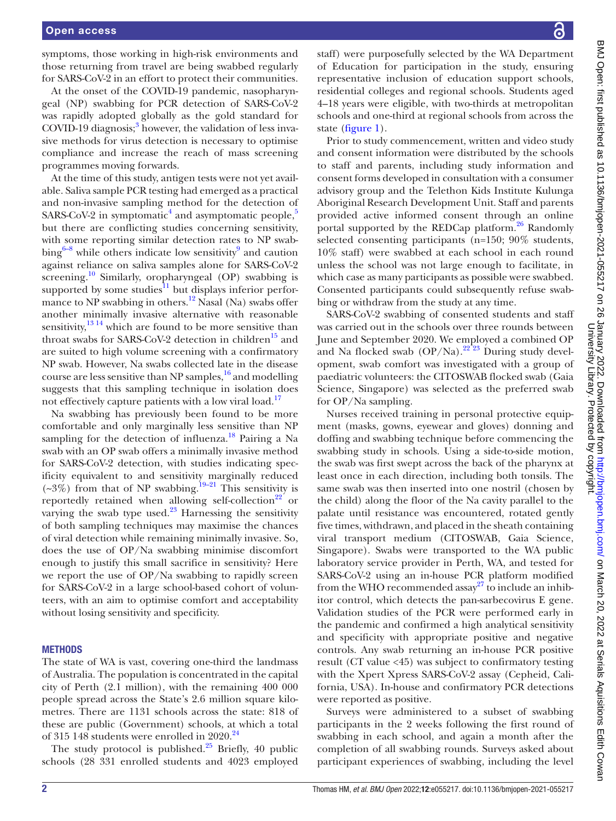symptoms, those working in high-risk environments and those returning from travel are being swabbed regularly for SARS-CoV-2 in an effort to protect their communities.

At the onset of the COVID-19 pandemic, nasopharyngeal (NP) swabbing for PCR detection of SARS-CoV-2 was rapidly adopted globally as the gold standard for COVID-19 diagnosis;<sup>[3](#page-7-2)</sup> however, the validation of less invasive methods for virus detection is necessary to optimise compliance and increase the reach of mass screening programmes moving forwards.

At the time of this study, antigen tests were not yet available. Saliva sample PCR testing had emerged as a practical and non-invasive sampling method for the detection of SARS-CoV-2 in symptomatic<sup>[4](#page-7-3)</sup> and asymptomatic people,<sup>[5](#page-7-4)</sup> but there are conflicting studies concerning sensitivity, with some reporting similar detection rates to NP swabbing $6-8$  while others indicate low sensitivity<sup>[9](#page-7-6)</sup> and caution against reliance on saliva samples alone for SARS-CoV-2 screening.<sup>[10](#page-7-7)</sup> Similarly, oropharyngeal (OP) swabbing is supported by some studies $^{11}$  $^{11}$  $^{11}$  but displays inferior performance to NP swabbing in others.<sup>12</sup> Nasal (Na) swabs offer another minimally invasive alternative with reasonable sensitivity,  $13 \frac{14}{12}$  which are found to be more sensitive than throat swabs for SARS-CoV-2 detection in children<sup>15</sup> and are suited to high volume screening with a confirmatory NP swab. However, Na swabs collected late in the disease course are less sensitive than NP samples, $16$  and modelling suggests that this sampling technique in isolation does not effectively capture patients with a low viral load.<sup>17</sup>

Na swabbing has previously been found to be more comfortable and only marginally less sensitive than NP sampling for the detection of influenza.<sup>18</sup> Pairing a Na swab with an OP swab offers a minimally invasive method for SARS-CoV-2 detection, with studies indicating specificity equivalent to and sensitivity marginally reduced  $(\sim 3\%)$  from that of NP swabbing.<sup>19–21</sup> This sensitivity is reportedly retained when allowing self-collection<sup>22</sup> or varying the swab type used. $^{23}$  $^{23}$  $^{23}$  Harnessing the sensitivity of both sampling techniques may maximise the chances of viral detection while remaining minimally invasive. So, does the use of OP/Na swabbing minimise discomfort enough to justify this small sacrifice in sensitivity? Here we report the use of OP/Na swabbing to rapidly screen for SARS-CoV-2 in a large school-based cohort of volunteers, with an aim to optimise comfort and acceptability without losing sensitivity and specificity.

#### **METHODS**

The state of WA is vast, covering one-third the landmass of Australia. The population is concentrated in the capital city of Perth (2.1 million), with the remaining 400 000 people spread across the State's 2.6 million square kilometres. There are 1131 schools across the state: 818 of these are public (Government) schools, at which a total of 315 148 students were enrolled in  $2020.<sup>24</sup>$  $2020.<sup>24</sup>$  $2020.<sup>24</sup>$ 

The study protocol is published.<sup>25</sup> Briefly, 40 public schools (28 331 enrolled students and 4023 employed

staff) were purposefully selected by the WA Department of Education for participation in the study, ensuring representative inclusion of education support schools, residential colleges and regional schools. Students aged 4–18 years were eligible, with two-thirds at metropolitan schools and one-third at regional schools from across the state ([figure](#page-4-0) 1).

Prior to study commencement, written and video study and consent information were distributed by the schools to staff and parents, including study information and consent forms developed in consultation with a consumer advisory group and the Telethon Kids Institute Kulunga Aboriginal Research Development Unit. Staff and parents provided active informed consent through an online portal supported by the REDCap platform.<sup>[26](#page-8-4)</sup> Randomly selected consenting participants (n=150; 90% students, 10% staff) were swabbed at each school in each round unless the school was not large enough to facilitate, in which case as many participants as possible were swabbed. Consented participants could subsequently refuse swabbing or withdraw from the study at any time.

SARS-CoV-2 swabbing of consented students and staff was carried out in the schools over three rounds between June and September 2020. We employed a combined OP and Na flocked swab  $(OP/Na)$ .<sup>22 $23$ </sup> During study development, swab comfort was investigated with a group of paediatric volunteers: the CITOSWAB flocked swab (Gaia Science, Singapore) was selected as the preferred swab for OP/Na sampling.

Nurses received training in personal protective equipment (masks, gowns, eyewear and gloves) donning and doffing and swabbing technique before commencing the swabbing study in schools. Using a side-to-side motion, the swab was first swept across the back of the pharynx at least once in each direction, including both tonsils. The same swab was then inserted into one nostril (chosen by the child) along the floor of the Na cavity parallel to the palate until resistance was encountered, rotated gently five times, withdrawn, and placed in the sheath containing viral transport medium (CITOSWAB, Gaia Science, Singapore). Swabs were transported to the WA public laboratory service provider in Perth, WA, and tested for SARS-CoV-2 using an in-house PCR platform modified from the WHO recommended assay<sup>27</sup> to include an inhibitor control, which detects the pan-sarbecovirus E gene. Validation studies of the PCR were performed early in the pandemic and confirmed a high analytical sensitivity and specificity with appropriate positive and negative controls. Any swab returning an in-house PCR positive result (CT value <45) was subject to confirmatory testing with the Xpert Xpress SARS-CoV-2 assay (Cepheid, California, USA). In-house and confirmatory PCR detections were reported as positive.

Surveys were administered to a subset of swabbing participants in the 2 weeks following the first round of swabbing in each school, and again a month after the completion of all swabbing rounds. Surveys asked about participant experiences of swabbing, including the level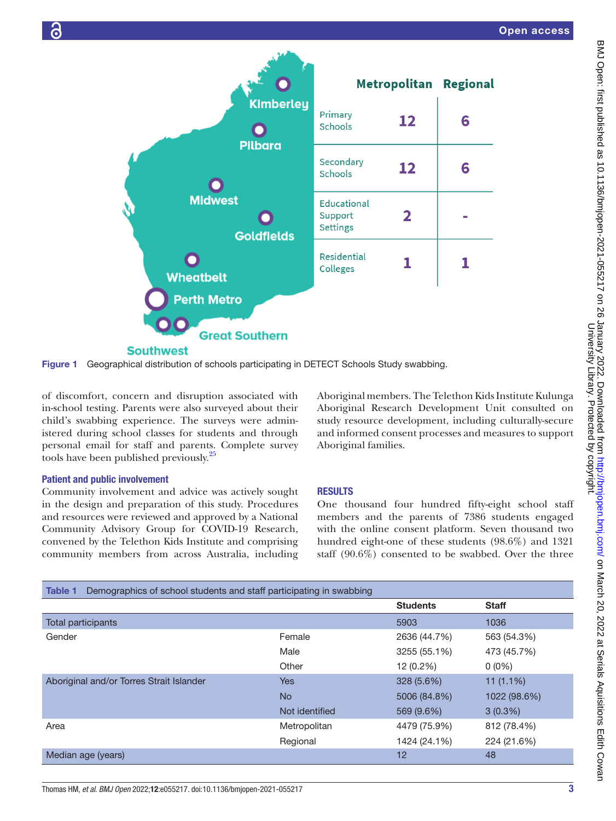





of discomfort, concern and disruption associated with in-school testing. Parents were also surveyed about their child's swabbing experience. The surveys were administered during school classes for students and through personal email for staff and parents. Complete survey tools have been published previously.<sup>[25](#page-8-3)</sup>

## Patient and public involvement

Community involvement and advice was actively sought in the design and preparation of this study. Procedures and resources were reviewed and approved by a National Community Advisory Group for COVID-19 Research, convened by the Telethon Kids Institute and comprising community members from across Australia, including <span id="page-4-0"></span>Aboriginal members. The Telethon Kids Institute Kulunga Aboriginal Research Development Unit consulted on study resource development, including culturally-secure and informed consent processes and measures to support Aboriginal families.

## RESULTS

One thousand four hundred fifty-eight school staff members and the parents of 7386 students engaged with the online consent platform. Seven thousand two hundred eight-one of these students (98.6%) and 1321 staff (90.6%) consented to be swabbed. Over the three

<span id="page-4-1"></span>

| Demographics of school students and staff participating in swabbing<br>Table 1 |                |                 |              |
|--------------------------------------------------------------------------------|----------------|-----------------|--------------|
|                                                                                |                | <b>Students</b> | <b>Staff</b> |
| Total participants                                                             |                | 5903            | 1036         |
| Gender                                                                         | Female         | 2636 (44.7%)    | 563 (54.3%)  |
|                                                                                | Male           | 3255 (55.1%)    | 473 (45.7%)  |
|                                                                                | Other          | 12 (0.2%)       | $0(0\%)$     |
| Aboriginal and/or Torres Strait Islander                                       | <b>Yes</b>     | 328 (5.6%)      | $11(1.1\%)$  |
|                                                                                | <b>No</b>      | 5006 (84.8%)    | 1022 (98.6%) |
|                                                                                | Not identified | 569 (9.6%)      | $3(0.3\%)$   |
| Area                                                                           | Metropolitan   | 4479 (75.9%)    | 812 (78.4%)  |
|                                                                                | Regional       | 1424 (24.1%)    | 224 (21.6%)  |
| Median age (years)                                                             |                | 12              | 48           |

# Thomas HM, *et al*. *BMJ Open* 2022;12:e055217. doi:10.1136/bmjopen-2021-055217 3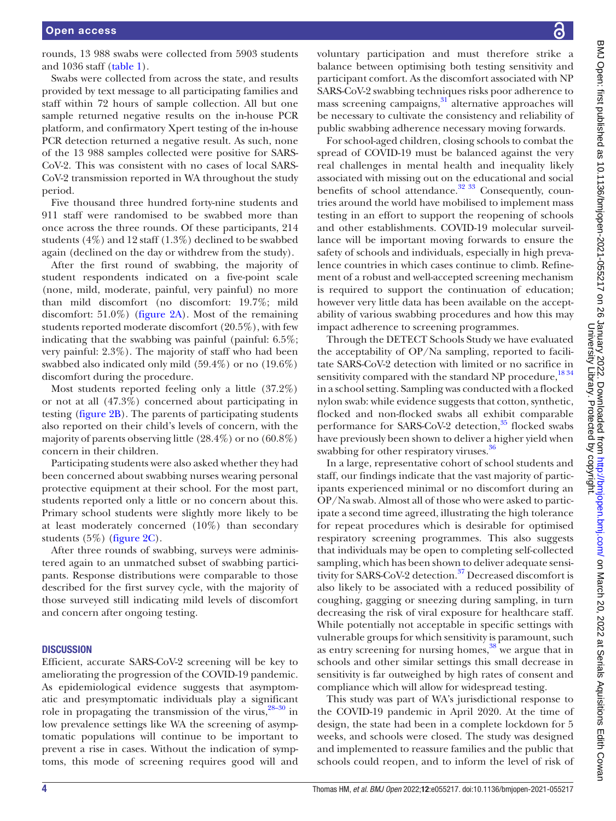rounds, 13 988 swabs were collected from 5903 students and 1036 staff [\(table](#page-4-1) 1).

Swabs were collected from across the state, and results provided by text message to all participating families and staff within 72 hours of sample collection. All but one sample returned negative results on the in-house PCR platform, and confirmatory Xpert testing of the in-house PCR detection returned a negative result. As such, none of the 13 988 samples collected were positive for SARS-CoV-2. This was consistent with no cases of local SARS-CoV-2 transmission reported in WA throughout the study period.

Five thousand three hundred forty-nine students and 911 staff were randomised to be swabbed more than once across the three rounds. Of these participants, 214 students (4%) and 12 staff (1.3%) declined to be swabbed again (declined on the day or withdrew from the study).

After the first round of swabbing, the majority of student respondents indicated on a five-point scale (none, mild, moderate, painful, very painful) no more than mild discomfort (no discomfort: 19.7%; mild discomfort: 51.0%) [\(figure](#page-6-0) 2A). Most of the remaining students reported moderate discomfort (20.5%), with few indicating that the swabbing was painful (painful:  $6.5\%$ ; very painful: 2.3%). The majority of staff who had been swabbed also indicated only mild (59.4%) or no (19.6%) discomfort during the procedure.

Most students reported feeling only a little (37.2%) or not at all (47.3%) concerned about participating in testing ([figure](#page-6-0) 2B). The parents of participating students also reported on their child's levels of concern, with the majority of parents observing little (28.4%) or no (60.8%) concern in their children.

Participating students were also asked whether they had been concerned about swabbing nurses wearing personal protective equipment at their school. For the most part, students reported only a little or no concern about this. Primary school students were slightly more likely to be at least moderately concerned (10%) than secondary students (5%) [\(figure](#page-6-0) 2C).

After three rounds of swabbing, surveys were administered again to an unmatched subset of swabbing participants. Response distributions were comparable to those described for the first survey cycle, with the majority of those surveyed still indicating mild levels of discomfort and concern after ongoing testing.

#### **DISCUSSION**

Efficient, accurate SARS-CoV-2 screening will be key to ameliorating the progression of the COVID-19 pandemic. As epidemiological evidence suggests that asymptomatic and presymptomatic individuals play a significant role in propagating the transmission of the virus,  $28-30$  in low prevalence settings like WA the screening of asymptomatic populations will continue to be important to prevent a rise in cases. Without the indication of symptoms, this mode of screening requires good will and

voluntary participation and must therefore strike a balance between optimising both testing sensitivity and participant comfort. As the discomfort associated with NP SARS-CoV-2 swabbing techniques risks poor adherence to mass screening campaigns,<sup>31</sup> alternative approaches will be necessary to cultivate the consistency and reliability of public swabbing adherence necessary moving forwards.

For school-aged children, closing schools to combat the spread of COVID-19 must be balanced against the very real challenges in mental health and inequality likely associated with missing out on the educational and social benefits of school attendance. $32 \frac{33}{2}$  Consequently, countries around the world have mobilised to implement mass testing in an effort to support the reopening of schools and other establishments. COVID-19 molecular surveillance will be important moving forwards to ensure the safety of schools and individuals, especially in high prevalence countries in which cases continue to climb. Refinement of a robust and well-accepted screening mechanism is required to support the continuation of education; however very little data has been available on the acceptability of various swabbing procedures and how this may impact adherence to screening programmes.

Through the DETECT Schools Study we have evaluated the acceptability of OP/Na sampling, reported to facilitate SARS-CoV-2 detection with limited or no sacrifice in sensitivity compared with the standard NP procedure,<sup>1834</sup> in a school setting. Sampling was conducted with a flocked nylon swab: while evidence suggests that cotton, synthetic, flocked and non-flocked swabs all exhibit comparable performance for SARS-CoV-2 detection, $35$  flocked swabs have previously been shown to deliver a higher yield when swabbing for other respiratory viruses.<sup>[36](#page-8-10)</sup>

In a large, representative cohort of school students and staff, our findings indicate that the vast majority of participants experienced minimal or no discomfort during an OP/Na swab. Almost all of those who were asked to participate a second time agreed, illustrating the high tolerance for repeat procedures which is desirable for optimised respiratory screening programmes. This also suggests that individuals may be open to completing self-collected sampling, which has been shown to deliver adequate sensi-tivity for SARS-CoV-2 detection.<sup>[37](#page-8-11)</sup> Decreased discomfort is also likely to be associated with a reduced possibility of coughing, gagging or sneezing during sampling, in turn decreasing the risk of viral exposure for healthcare staff. While potentially not acceptable in specific settings with vulnerable groups for which sensitivity is paramount, such as entry screening for nursing homes,<sup>[38](#page-8-12)</sup> we argue that in schools and other similar settings this small decrease in sensitivity is far outweighed by high rates of consent and compliance which will allow for widespread testing.

This study was part of WA's jurisdictional response to the COVID-19 pandemic in April 2020. At the time of design, the state had been in a complete lockdown for 5 weeks, and schools were closed. The study was designed and implemented to reassure families and the public that schools could reopen, and to inform the level of risk of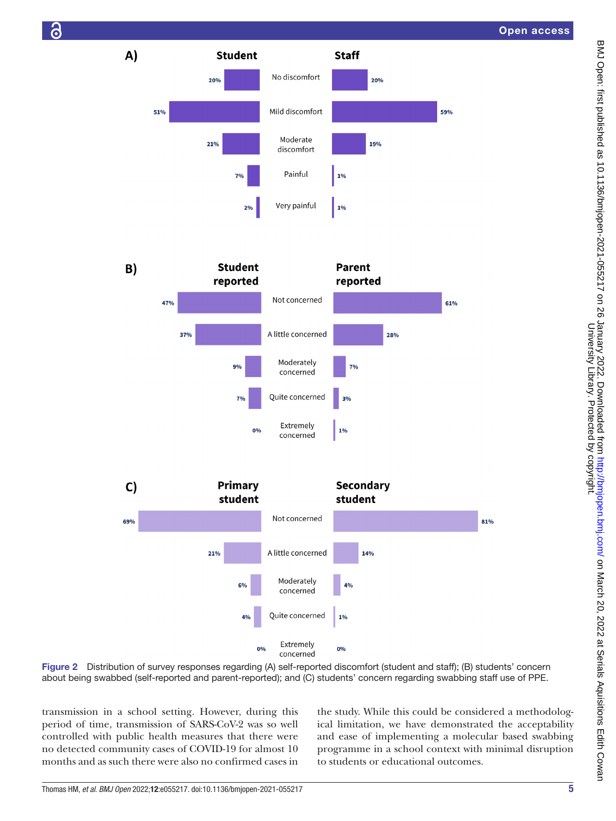

**P** 



**Staff** 

 $1%$ 

 $10/$ 

**Parent** 

reported

20%

 $100<sub>6</sub>$ 

59%

No discomfort

Mild discomfort

Moderate

discomfort

Painful

Very painful

Figure 2 Distribution of survey responses regarding (A) self-reported discomfort (student and staff); (B) students' concern about being swabbed (self-reported and parent-reported); and (C) students' concern regarding swabbing staff use of PPE.

transmission in a school setting. However, during this period of time, transmission of SARS-CoV-2 was so well controlled with public health measures that there were no detected community cases of COVID-19 for almost 10 months and as such there were also no confirmed cases in

<span id="page-6-0"></span>the study. While this could be considered a methodological limitation, we have demonstrated the acceptability and ease of implementing a molecular based swabbing programme in a school context with minimal disruption to students or educational outcomes.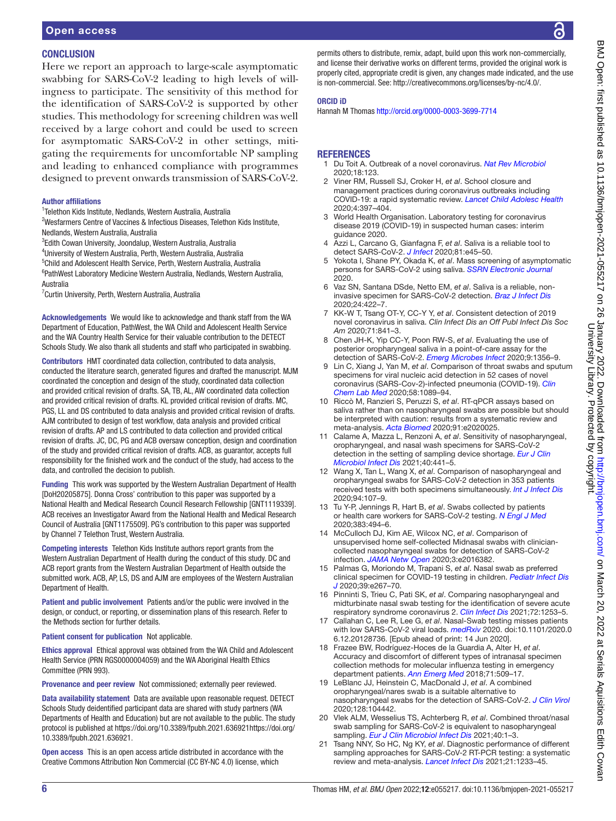#### **CONCLUSION**

Here we report an approach to large-scale asymptomatic swabbing for SARS-CoV-2 leading to high levels of willingness to participate. The sensitivity of this method for the identification of SARS-CoV-2 is supported by other studies. This methodology for screening children was well received by a large cohort and could be used to screen for asymptomatic SARS-CoV-2 in other settings, mitigating the requirements for uncomfortable NP sampling and leading to enhanced compliance with programmes designed to prevent onwards transmission of SARS-CoV-2.

#### Author affiliations

1 Telethon Kids Institute, Nedlands, Western Australia, Australia

<sup>2</sup>Wesfarmers Centre of Vaccines & Infectious Diseases, Telethon Kids Institute, Nedlands, Western Australia, Australia

3 Edith Cowan University, Joondalup, Western Australia, Australia

4 University of Western Australia, Perth, Western Australia, Australia

5 Child and Adolescent Health Service, Perth, Western Australia, Australia

6 PathWest Laboratory Medicine Western Australia, Nedlands, Western Australia, Australia

7 Curtin University, Perth, Western Australia, Australia

Acknowledgements We would like to acknowledge and thank staff from the WA Department of Education, PathWest, the WA Child and Adolescent Health Service and the WA Country Health Service for their valuable contribution to the DETECT Schools Study. We also thank all students and staff who participated in swabbing.

Contributors HMT coordinated data collection, contributed to data analysis, conducted the literature search, generated figures and drafted the manuscript. MJM coordinated the conception and design of the study, coordinated data collection and provided critical revision of drafts. SA, TB, AL, AW coordinated data collection and provided critical revision of drafts. KL provided critical revision of drafts. MC, PGS, LL and DS contributed to data analysis and provided critical revision of drafts. AJM contributed to design of test workflow, data analysis and provided critical revision of drafts. AP and LS contributed to data collection and provided critical revision of drafts. JC, DC, PG and ACB oversaw conception, design and coordination of the study and provided critical revision of drafts. ACB, as guarantor, accepts full responsibility for the finished work and the conduct of the study, had access to the data, and controlled the decision to publish.

Funding This work was supported by the Western Australian Department of Health [DoH20205875]. Donna Cross' contribution to this paper was supported by a National Health and Medical Research Council Research Fellowship [GNT1119339]. ACB receives an Investigator Award from the National Health and Medical Research Council of Australia [GNT1175509]. PG's contribution to this paper was supported by Channel 7 Telethon Trust, Western Australia.

Competing interests Telethon Kids Institute authors report grants from the Western Australian Department of Health during the conduct of this study. DC and ACB report grants from the Western Australian Department of Health outside the submitted work. ACB, AP, LS, DS and AJM are employees of the Western Australian Department of Health.

Patient and public involvement Patients and/or the public were involved in the design, or conduct, or reporting, or dissemination plans of this research. Refer to the Methods section for further details.

Patient consent for publication Not applicable.

Ethics approval Ethical approval was obtained from the WA Child and Adolescent Health Service (PRN RGS0000004059) and the WA Aboriginal Health Ethics Committee (PRN 993).

Provenance and peer review Not commissioned; externally peer reviewed.

Data availability statement Data are available upon reasonable request. DETECT Schools Study deidentified participant data are shared with study partners (WA Departments of Health and Education) but are not available to the public. The study protocol is published at [https://doi.org/10.3389/fpubh.2021.636921https://doi.org/](https://doi.org/10.3389/fpubh.2021.636921) [10.3389/fpubh.2021.636921.](https://doi.org/10.3389/fpubh.2021.636921)

Open access This is an open access article distributed in accordance with the Creative Commons Attribution Non Commercial (CC BY-NC 4.0) license, which

permits others to distribute, remix, adapt, build upon this work non-commercially, and license their derivative works on different terms, provided the original work is properly cited, appropriate credit is given, any changes made indicated, and the use is non-commercial. See: [http://creativecommons.org/licenses/by-nc/4.0/.](http://creativecommons.org/licenses/by-nc/4.0/)

#### ORCID iD

Hannah M Thomas<http://orcid.org/0000-0003-3699-7714>

#### **REFERENCES**

- <span id="page-7-0"></span>1 Du Toit A. Outbreak of a novel coronavirus. *[Nat Rev Microbiol](http://dx.doi.org/10.1038/s41579-020-0332-0)* 2020;18:123.
- <span id="page-7-1"></span>2 Viner RM, Russell SJ, Croker H, *et al*. School closure and management practices during coronavirus outbreaks including COVID-19: a rapid systematic review. *[Lancet Child Adolesc Health](http://dx.doi.org/10.1016/S2352-4642(20)30095-X)* 2020;4:397–404.
- <span id="page-7-2"></span>3 World Health Organisation. Laboratory testing for coronavirus disease 2019 (COVID-19) in suspected human cases: interim guidance 2020.
- <span id="page-7-3"></span>4 Azzi L, Carcano G, Gianfagna F, *et al*. Saliva is a reliable tool to detect SARS-CoV-2. *[J Infect](http://dx.doi.org/10.1016/j.jinf.2020.04.005)* 2020;81:e45–50.
- <span id="page-7-4"></span>5 Yokota I, Shane PY, Okada K, *et al*. Mass screening of asymptomatic persons for SARS-CoV-2 using saliva. *[SSRN Electronic Journal](http://dx.doi.org/10.2139/ssrn.3668435)* 2020.
- <span id="page-7-5"></span>6 Vaz SN, Santana DSde, Netto EM, *et al*. Saliva is a reliable, noninvasive specimen for SARS-CoV-2 detection. *[Braz J Infect Dis](http://dx.doi.org/10.1016/j.bjid.2020.08.001)* 2020;24:422–7.
- 7 KK-W T, Tsang OT-Y, CC-Y Y, *et al*. Consistent detection of 2019 novel coronavirus in saliva. *Clin Infect Dis an Off Publ Infect Dis Soc Am* 2020;71:841–3.
- 8 Chen JH-K, Yip CC-Y, Poon RW-S, *et al*. Evaluating the use of posterior oropharyngeal saliva in a point-of-care assay for the detection of SARS-CoV-2. *[Emerg Microbes Infect](http://dx.doi.org/10.1080/22221751.2020.1775133)* 2020;9:1356–9.
- <span id="page-7-6"></span>9 Lin C, Xiang J, Yan M, *et al*. Comparison of throat swabs and sputum specimens for viral nucleic acid detection in 52 cases of novel coronavirus (SARS-Cov-2)-infected pneumonia (COVID-19). *[Clin](http://dx.doi.org/10.1515/cclm-2020-0187)  [Chem Lab Med](http://dx.doi.org/10.1515/cclm-2020-0187)* 2020;58:1089–94.
- <span id="page-7-7"></span>10 Riccò M, Ranzieri S, Peruzzi S, *et al*. RT-qPCR assays based on saliva rather than on nasopharyngeal swabs are possible but should be interpreted with caution: results from a systematic review and meta-analysis. *[Acta Biomed](http://dx.doi.org/10.23750/abm.v91i3.10020)* 2020;91:e2020025.
- <span id="page-7-8"></span>11 Calame A, Mazza L, Renzoni A, *et al*. Sensitivity of nasopharyngeal, oropharyngeal, and nasal wash specimens for SARS-CoV-2 detection in the setting of sampling device shortage. *[Eur J Clin](http://dx.doi.org/10.1007/s10096-020-04039-8)  [Microbiol Infect Dis](http://dx.doi.org/10.1007/s10096-020-04039-8)* 2021;40:441–5.
- <span id="page-7-9"></span>12 Wang X, Tan L, Wang X, *et al*. Comparison of nasopharyngeal and oropharyngeal swabs for SARS-CoV-2 detection in 353 patients received tests with both specimens simultaneously. *[Int J Infect Dis](http://dx.doi.org/10.1016/j.ijid.2020.04.023)* 2020;94:107–9.
- <span id="page-7-10"></span>13 Tu Y-P, Jennings R, Hart B, *et al*. Swabs collected by patients or health care workers for SARS-CoV-2 testing. *[N Engl J Med](http://dx.doi.org/10.1056/NEJMc2016321)* 2020;383:494–6.
- 14 McCulloch DJ, Kim AE, Wilcox NC, *et al*. Comparison of unsupervised home self-collected Midnasal swabs with cliniciancollected nasopharyngeal swabs for detection of SARS-CoV-2 infection. *[JAMA Netw Open](http://dx.doi.org/10.1001/jamanetworkopen.2020.16382)* 2020;3:e2016382.
- <span id="page-7-11"></span>15 Palmas G, Moriondo M, Trapani S, *et al*. Nasal swab as preferred clinical specimen for COVID-19 testing in children. *[Pediatr Infect Dis](http://dx.doi.org/10.1097/INF.0000000000002812)  [J](http://dx.doi.org/10.1097/INF.0000000000002812)* 2020;39:e267–70.
- <span id="page-7-12"></span>16 Pinninti S, Trieu C, Pati SK, *et al*. Comparing nasopharyngeal and midturbinate nasal swab testing for the identification of severe acute respiratory syndrome coronavirus 2. *[Clin Infect Dis](http://dx.doi.org/10.1093/cid/ciaa882)* 2021;72:1253–5.
- <span id="page-7-13"></span>17 Callahan C, Lee R, Lee G, *et al*. Nasal-Swab testing misses patients with low SARS-CoV-2 viral loads. *[medRxiv](http://dx.doi.org/10.1101/2020.06.12.20128736)* 2020. doi:10.1101/2020.0 6.12.20128736. [Epub ahead of print: 14 Jun 2020].
- <span id="page-7-14"></span>18 Frazee BW, Rodríguez-Hoces de la Guardia A, Alter H, *et al*. Accuracy and discomfort of different types of intranasal specimen collection methods for molecular influenza testing in emergency department patients. *[Ann Emerg Med](http://dx.doi.org/10.1016/j.annemergmed.2017.09.010)* 2018;71:509–17.
- <span id="page-7-15"></span>19 LeBlanc JJ, Heinstein C, MacDonald J, *et al*. A combined oropharyngeal/nares swab is a suitable alternative to nasopharyngeal swabs for the detection of SARS-CoV-2. *[J Clin Virol](http://dx.doi.org/10.1016/j.jcv.2020.104442)* 2020;128:104442.
- 20 Vlek ALM, Wesselius TS, Achterberg R, *et al*. Combined throat/nasal swab sampling for SARS-CoV-2 is equivalent to nasopharyngeal sampling. *[Eur J Clin Microbiol Infect Dis](http://dx.doi.org/10.1007/s10096-020-03972-y)* 2021;40:1–3.
- 21 Tsang NNY, So HC, Ng KY, *et al*. Diagnostic performance of different sampling approaches for SARS-CoV-2 RT-PCR testing: a systematic review and meta-analysis. *[Lancet Infect Dis](http://dx.doi.org/10.1016/S1473-3099(21)00146-8)* 2021;21:1233–45.